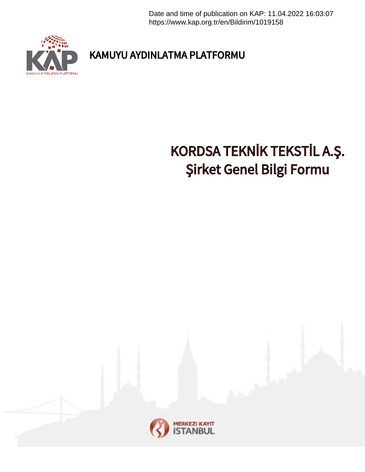Date and time of publication on KAP: 11.04.2022 16:03:07 https://www.kap.org.tr/en/Bildirim/1019158



KAMUYU AYDINLATMA PLATFORMU

## KORDSA TEKNİK TEKSTİL A.Ş. Şirket Genel Bilgi Formu